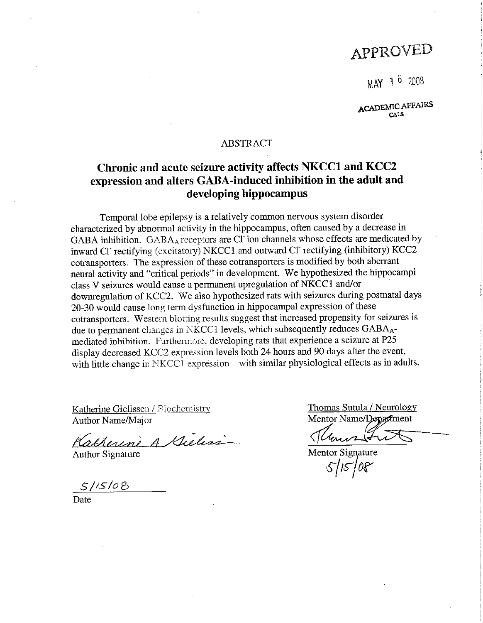# APPROVED

MAY 1 6 2008

**ACADEMIC AFFAIRS** CALS

## **ABSTRACT**

# Chronic and acute seizure activity affects NKCC1 and KCC2 expression and alters GABA-induced inhibition in the adult and developing hippocampus

Temporal lobe epilepsy is a relatively common nervous system disorder characterized by abnormal activity in the hippocampus, often caused by a decrease in GABA inhibition. GABA<sub>A</sub> receptors are Cl<sup>-</sup>ion channels whose effects are medicated by inward Cl rectifying (excitatory) NKCC1 and outward Cl rectifying (inhibitory) KCC2 cotransporters. The expression of these cotransporters is modified by both aberrant neural activity and "critical periods" in development. We hypothesized the hippocampi class V seizures would cause a permanent upregulation of NKCC1 and/or downregulation of KCC2. We also hypothesized rats with seizures during postnatal days 20-30 would cause long term dysfunction in hippocampal expression of these cotransporters. Western blotting results suggest that increased propensity for seizures is due to permanent changes in NKCC1 levels, which subsequently reduces GABA<sub>A</sub>mediated inhibition. Furthermore, developing rats that experience a seizure at P25 display decreased KCC2 expression levels both 24 hours and 90 days after the event, with little change in NKCC1 expression—with similar physiological effects as in adults.

Katherine Gielissen / Biochemistry Author Name/Major

Katherine A Gieliss

**Author Signature** 

 $5/15/08$ 

Date

Thomas Sutula / Neurology Mentor Name/Department

Mentor Signature  $5/15/08$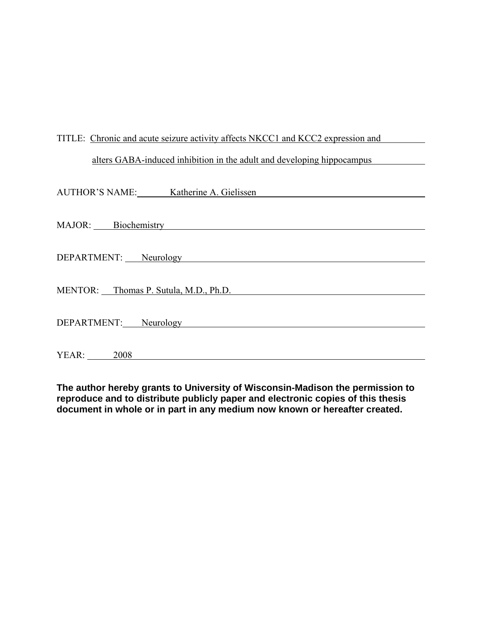# TITLE: Chronic and acute seizure activity affects NKCC1 and KCC2 expression and

# alters GABA-induced inhibition in the adult and developing hippocampus

|                                       | AUTHOR'S NAME: Katherine A. Gielissen |
|---------------------------------------|---------------------------------------|
|                                       |                                       |
|                                       | MAJOR: Biochemistry                   |
|                                       |                                       |
|                                       | DEPARTMENT: Neurology                 |
|                                       |                                       |
| MENTOR: Thomas P. Sutula, M.D., Ph.D. |                                       |
|                                       |                                       |
|                                       | DEPARTMENT: Neurology                 |
|                                       |                                       |
| YEAR: 2008                            |                                       |

**The author hereby grants to University of Wisconsin-Madison the permission to reproduce and to distribute publicly paper and electronic copies of this thesis document in whole or in part in any medium now known or hereafter created.**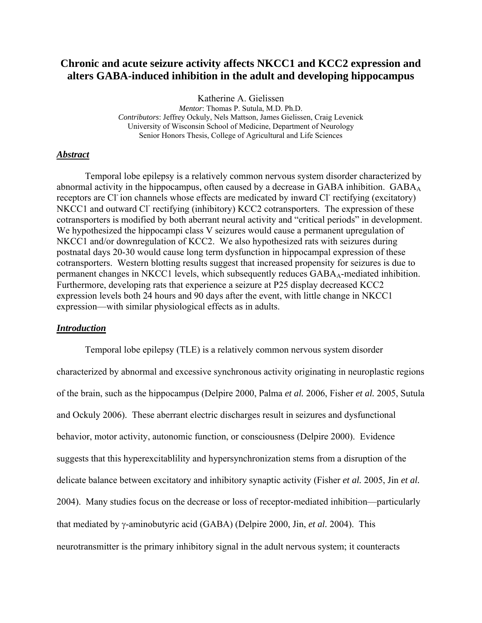# **Chronic and acute seizure activity affects NKCC1 and KCC2 expression and alters GABA-induced inhibition in the adult and developing hippocampus**

Katherine A. Gielissen *Mentor*: Thomas P. Sutula, M.D. Ph.D.

*Contributors*: Jeffrey Ockuly, Nels Mattson, James Gielissen, Craig Levenick University of Wisconsin School of Medicine, Department of Neurology Senior Honors Thesis, College of Agricultural and Life Sciences

## *Abstract*

 Temporal lobe epilepsy is a relatively common nervous system disorder characterized by abnormal activity in the hippocampus, often caused by a decrease in GABA inhibition.  $GABA_A$ receptors are Cl<sup>-</sup>ion channels whose effects are medicated by inward Cl<sup>-</sup>rectifying (excitatory) NKCC1 and outward Cl<sup>-</sup> rectifying (inhibitory) KCC2 cotransporters. The expression of these cotransporters is modified by both aberrant neural activity and "critical periods" in development. We hypothesized the hippocampi class V seizures would cause a permanent upregulation of NKCC1 and/or downregulation of KCC2. We also hypothesized rats with seizures during postnatal days 20-30 would cause long term dysfunction in hippocampal expression of these cotransporters. Western blotting results suggest that increased propensity for seizures is due to permanent changes in NKCC1 levels, which subsequently reduces GABA<sub>A</sub>-mediated inhibition. Furthermore, developing rats that experience a seizure at P25 display decreased KCC2 expression levels both 24 hours and 90 days after the event, with little change in NKCC1 expression—with similar physiological effects as in adults.

# *Introduction*

 Temporal lobe epilepsy (TLE) is a relatively common nervous system disorder characterized by abnormal and excessive synchronous activity originating in neuroplastic regions of the brain, such as the hippocampus (Delpire 2000, Palma *et al.* 2006, Fisher *et al.* 2005, Sutula and Ockuly 2006). These aberrant electric discharges result in seizures and dysfunctional behavior, motor activity, autonomic function, or consciousness (Delpire 2000). Evidence suggests that this hyperexcitablility and hypersynchronization stems from a disruption of the delicate balance between excitatory and inhibitory synaptic activity (Fisher *et al.* 2005, Jin *et al.* 2004). Many studies focus on the decrease or loss of receptor-mediated inhibition—particularly that mediated by γ-aminobutyric acid (GABA) (Delpire 2000, Jin, *et al.* 2004). This neurotransmitter is the primary inhibitory signal in the adult nervous system; it counteracts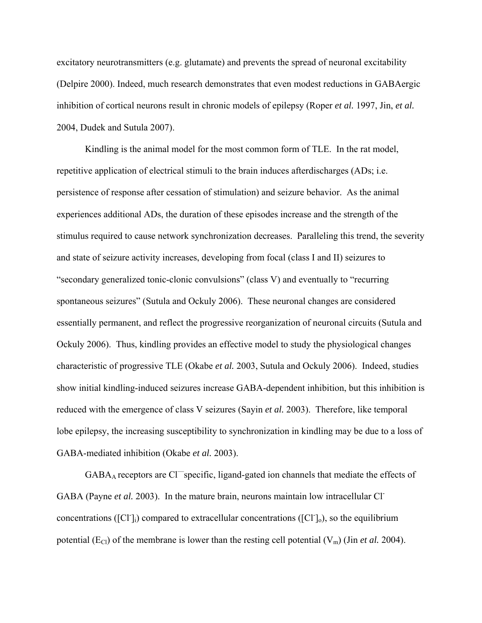excitatory neurotransmitters (e.g. glutamate) and prevents the spread of neuronal excitability (Delpire 2000). Indeed, much research demonstrates that even modest reductions in GABAergic inhibition of cortical neurons result in chronic models of epilepsy (Roper *et al.* 1997, Jin, *et al.* 2004, Dudek and Sutula 2007).

Kindling is the animal model for the most common form of TLE. In the rat model, repetitive application of electrical stimuli to the brain induces afterdischarges (ADs; i.e. persistence of response after cessation of stimulation) and seizure behavior. As the animal experiences additional ADs, the duration of these episodes increase and the strength of the stimulus required to cause network synchronization decreases. Paralleling this trend, the severity and state of seizure activity increases, developing from focal (class I and II) seizures to "secondary generalized tonic-clonic convulsions" (class V) and eventually to "recurring spontaneous seizures" (Sutula and Ockuly 2006). These neuronal changes are considered essentially permanent, and reflect the progressive reorganization of neuronal circuits (Sutula and Ockuly 2006). Thus, kindling provides an effective model to study the physiological changes characteristic of progressive TLE (Okabe *et al.* 2003, Sutula and Ockuly 2006). Indeed, studies show initial kindling-induced seizures increase GABA-dependent inhibition, but this inhibition is reduced with the emergence of class V seizures (Sayin *et al.* 2003). Therefore, like temporal lobe epilepsy, the increasing susceptibility to synchronization in kindling may be due to a loss of GABA-mediated inhibition (Okabe *et al.* 2003).

 $GABA_A$  receptors are  $Cl$ <sup>-</sup>specific, ligand-gated ion channels that mediate the effects of GABA (Payne *et al.* 2003). In the mature brain, neurons maintain low intracellular Clconcentrations ([Cl<sup>-</sup>]<sub>i</sub>) compared to extracellular concentrations ([Cl<sup>-</sup>]<sub>o</sub>), so the equilibrium potential ( $E_{Cl}$ ) of the membrane is lower than the resting cell potential ( $V_m$ ) (Jin *et al.* 2004).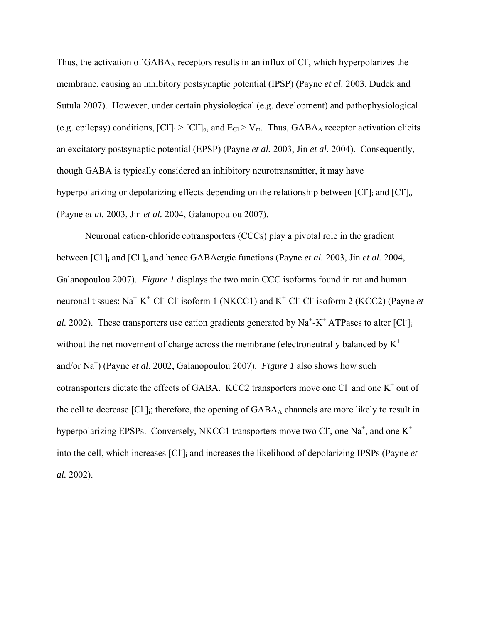Thus, the activation of GABAA receptors results in an influx of Cl, which hyperpolarizes the membrane, causing an inhibitory postsynaptic potential (IPSP) (Payne *et al.* 2003, Dudek and Sutula 2007). However, under certain physiological (e.g. development) and pathophysiological (e.g. epilepsy) conditions,  $[CI]_i > [CI]_0$ , and  $E_{Cl} > V_m$ . Thus,  $GABA_A$  receptor activation elicits an excitatory postsynaptic potential (EPSP) (Payne *et al.* 2003, Jin *et al.* 2004). Consequently, though GABA is typically considered an inhibitory neurotransmitter, it may have hyperpolarizing or depolarizing effects depending on the relationship between [Cl<sup>-</sup>]<sub>i</sub> and [Cl<sup>-</sup>]<sub>o</sub> (Payne *et al.* 2003, Jin *et al.* 2004, Galanopoulou 2007).

 Neuronal cation-chloride cotransporters (CCCs) play a pivotal role in the gradient between [Cl<sup>-</sup>]<sub>i</sub> and [Cl<sup>-</sup>]<sub>o</sub> and hence GABAergic functions (Payne *et al.* 2003, Jin *et al.* 2004, Galanopoulou 2007). *Figure 1* displays the two main CCC isoforms found in rat and human neuronal tissues: Na<sup>+</sup>-K<sup>+</sup>-Cl<sup>-</sup>-Cl<sup>-</sup> isoform 1 (NKCC1) and K<sup>+</sup>-Cl<sup>-</sup>-Cl<sup>-</sup> isoform 2 (KCC2) (Payne *et al.* 2002). These transporters use cation gradients generated by  $Na^+K^+$  ATPases to alter [Cl<sup>-</sup>]<sub>i</sub> without the net movement of charge across the membrane (electroneutrally balanced by  $K^+$ and/or Na<sup>+</sup> ) (Payne *et al.* 2002, Galanopoulou 2007). *Figure 1* also shows how such cotransporters dictate the effects of GABA. KCC2 transporters move one Cl and one  $K^+$  out of the cell to decrease [Cl<sup>-</sup>]<sub>i</sub>; therefore, the opening of GABA<sub>A</sub> channels are more likely to result in hyperpolarizing EPSPs. Conversely, NKCC1 transporters move two Cl<sup>-</sup>, one Na<sup>+</sup>, and one K<sup>+</sup> into the cell, which increases [Cl- ]i and increases the likelihood of depolarizing IPSPs (Payne *et al.* 2002).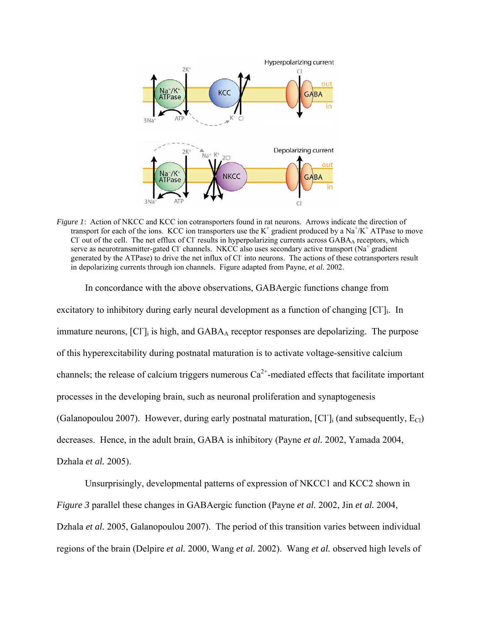

*Figure 1*: Action of NKCC and KCC ion cotransporters found in rat neurons. Arrows indicate the direction of transport for each of the ions. KCC ion transporters use the  $K^+$  gradient produced by a Na<sup>+</sup>/K<sup>+</sup> ATPase to move Cl out of the cell. The net efflux of Cl results in hyperpolarizing currents across GABAA receptors, which serve as neurotransmitter-gated Cl channels. NKCC also uses secondary active transport (Na<sup>+</sup> gradient generated by the ATPase) to drive the net influx of Cl- into neurons. The actions of these cotransporters result in depolarizing currents through ion channels. Figure adapted from Payne, *et al.* 2002.

 In concordance with the above observations, GABAergic functions change from excitatory to inhibitory during early neural development as a function of changing [Cl<sup>-</sup>]<sub>i</sub>. In immature neurons, [Cl<sup>-</sup>]<sub>i</sub> is high, and GABA<sub>A</sub> receptor responses are depolarizing. The purpose of this hyperexcitability during postnatal maturation is to activate voltage-sensitive calcium channels; the release of calcium triggers numerous  $Ca^{2+}$ -mediated effects that facilitate important processes in the developing brain, such as neuronal proliferation and synaptogenesis (Galanopoulou 2007). However, during early postnatal maturation,  $[Cl]_i$  (and subsequently,  $E_{Cl}$ ) decreases. Hence, in the adult brain, GABA is inhibitory (Payne *et al.* 2002, Yamada 2004, Dzhala *et al.* 2005).

Unsurprisingly, developmental patterns of expression of NKCC1 and KCC2 shown in *Figure 3* parallel these changes in GABAergic function (Payne *et al.* 2002, Jin *et al.* 2004, Dzhala *et al.* 2005, Galanopoulou 2007). The period of this transition varies between individual regions of the brain (Delpire *et al.* 2000, Wang *et al.* 2002). Wang *et al.* observed high levels of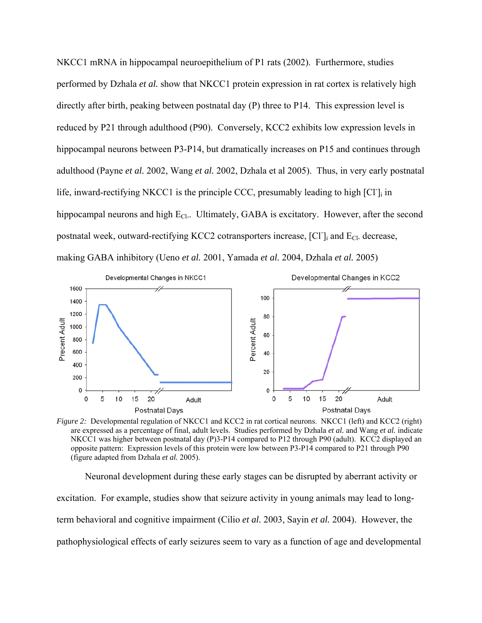NKCC1 mRNA in hippocampal neuroepithelium of P1 rats (2002). Furthermore, studies performed by Dzhala *et al.* show that NKCC1 protein expression in rat cortex is relatively high directly after birth, peaking between postnatal day (P) three to P14. This expression level is reduced by P21 through adulthood (P90). Conversely, KCC2 exhibits low expression levels in hippocampal neurons between P3-P14, but dramatically increases on P15 and continues through adulthood (Payne *et al.* 2002, Wang *et al.* 2002, Dzhala et al 2005). Thus, in very early postnatal life, inward-rectifying NKCC1 is the principle CCC, presumably leading to high [Cl]<sub>i</sub> in hippocampal neurons and high  $E_{CL}$ . Ultimately, GABA is excitatory. However, after the second postnatal week, outward-rectifying KCC2 cotransporters increase, [Cl<sup>-</sup>]<sub>i</sub> and E<sub>Cl-</sub> decrease, making GABA inhibitory (Ueno *et al.* 2001, Yamada *et al.* 2004, Dzhala *et al.* 2005)



*Figure 2:* Developmental regulation of NKCC1 and KCC2 in rat cortical neurons. NKCC1 (left) and KCC2 (right) are expressed as a percentage of final, adult levels. Studies performed by Dzhala *et al.* and Wang *et al.* indicate NKCC1 was higher between postnatal day (P)3-P14 compared to P12 through P90 (adult). KCC2 displayed an opposite pattern: Expression levels of this protein were low between P3-P14 compared to P21 through P90 (figure adapted from Dzhala *et al.* 2005).

Neuronal development during these early stages can be disrupted by aberrant activity or excitation. For example, studies show that seizure activity in young animals may lead to longterm behavioral and cognitive impairment (Cilio *et al.* 2003, Sayin *et al.* 2004). However, the pathophysiological effects of early seizures seem to vary as a function of age and developmental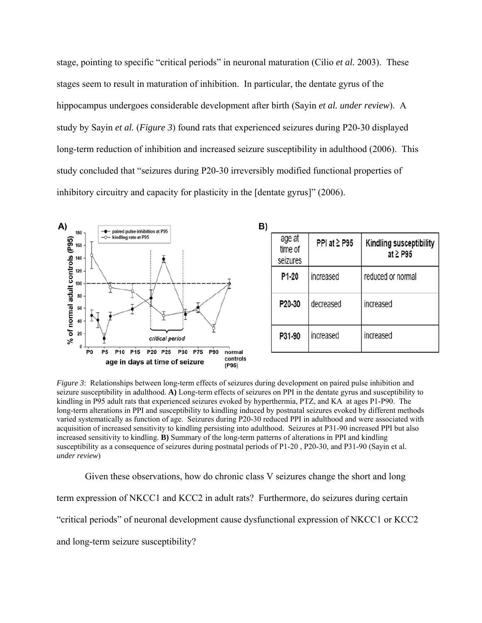stage, pointing to specific "critical periods" in neuronal maturation (Cilio *et al.* 2003). These stages seem to result in maturation of inhibition. In particular, the dentate gyrus of the hippocampus undergoes considerable development after birth (Sayin *et al. under review*). A study by Sayin *et al.* (*Figure 3*) found rats that experienced seizures during P20-30 displayed long-term reduction of inhibition and increased seizure susceptibility in adulthood (2006). This study concluded that "seizures during P20-30 irreversibly modified functional properties of inhibitory circuitry and capacity for plasticity in the [dentate gyrus]" (2006).



*Figure 3*: Relationships between long-term effects of seizures during development on paired pulse inhibition and seizure susceptibility in adulthood. **A)** Long-term effects of seizures on PPI in the dentate gyrus and susceptibility to kindling in P95 adult rats that experienced seizures evoked by hyperthermia, PTZ, and KA at ages P1-P90. The long-term alterations in PPI and susceptibility to kindling induced by postnatal seizures evoked by different methods varied systematically as function of age. Seizures during P20-30 reduced PPI in adulthood and were associated with acquisition of increased sensitivity to kindling persisting into adulthood. Seizures at P31-90 increased PPI but also increased sensitivity to kindling. **B)** Summary of the long-term patterns of alterations in PPI and kindling susceptibility as a consequence of seizures during postnatal periods of P1-20 , P20-30, and P31-90 (Sayin et al. *under review*)

Given these observations, how do chronic class V seizures change the short and long term expression of NKCC1 and KCC2 in adult rats? Furthermore, do seizures during certain "critical periods" of neuronal development cause dysfunctional expression of NKCC1 or KCC2 and long-term seizure susceptibility?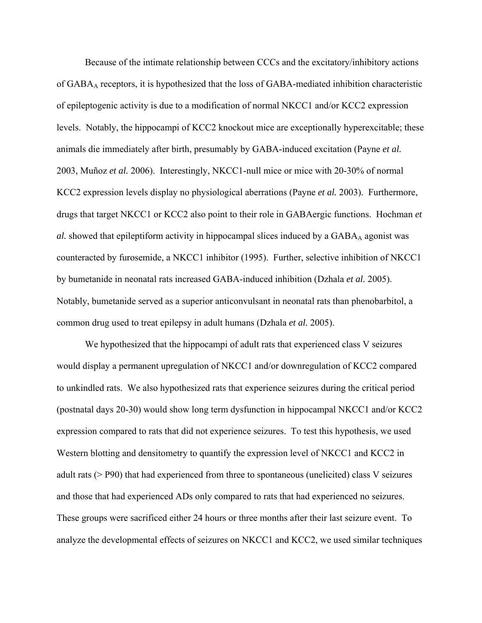Because of the intimate relationship between CCCs and the excitatory/inhibitory actions of GABAA receptors, it is hypothesized that the loss of GABA-mediated inhibition characteristic of epileptogenic activity is due to a modification of normal NKCC1 and/or KCC2 expression levels. Notably, the hippocampi of KCC2 knockout mice are exceptionally hyperexcitable; these animals die immediately after birth, presumably by GABA-induced excitation (Payne *et al.* 2003, Muñoz *et al.* 2006). Interestingly, NKCC1-null mice or mice with 20-30% of normal KCC2 expression levels display no physiological aberrations (Payne *et al.* 2003). Furthermore, drugs that target NKCC1 or KCC2 also point to their role in GABAergic functions. Hochman *et al.* showed that epileptiform activity in hippocampal slices induced by a GABA<sub>A</sub> agonist was counteracted by furosemide, a NKCC1 inhibitor (1995). Further, selective inhibition of NKCC1 by bumetanide in neonatal rats increased GABA-induced inhibition (Dzhala *et al.* 2005). Notably, bumetanide served as a superior anticonvulsant in neonatal rats than phenobarbitol, a common drug used to treat epilepsy in adult humans (Dzhala *et al.* 2005).

 We hypothesized that the hippocampi of adult rats that experienced class V seizures would display a permanent upregulation of NKCC1 and/or downregulation of KCC2 compared to unkindled rats. We also hypothesized rats that experience seizures during the critical period (postnatal days 20-30) would show long term dysfunction in hippocampal NKCC1 and/or KCC2 expression compared to rats that did not experience seizures. To test this hypothesis, we used Western blotting and densitometry to quantify the expression level of NKCC1 and KCC2 in adult rats (> P90) that had experienced from three to spontaneous (unelicited) class V seizures and those that had experienced ADs only compared to rats that had experienced no seizures. These groups were sacrificed either 24 hours or three months after their last seizure event. To analyze the developmental effects of seizures on NKCC1 and KCC2, we used similar techniques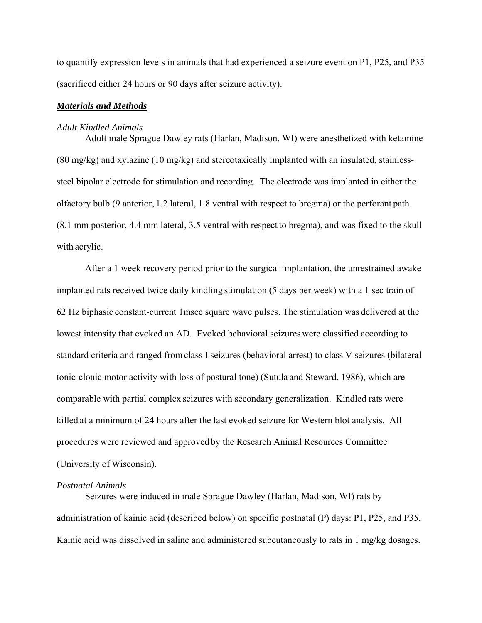to quantify expression levels in animals that had experienced a seizure event on P1, P25, and P35 (sacrificed either 24 hours or 90 days after seizure activity).

### *Materials and Methods*

#### *Adult Kindled Animals*

 Adult male Sprague Dawley rats (Harlan, Madison, WI) were anesthetized with ketamine (80 mg/kg) and xylazine (10 mg/kg) and stereotaxically implanted with an insulated, stainlesssteel bipolar electrode for stimulation and recording. The electrode was implanted in either the olfactory bulb (9 anterior, 1.2 lateral, 1.8 ventral with respect to bregma) or the perforant path (8.1 mm posterior, 4.4 mm lateral, 3.5 ventral with respect to bregma), and was fixed to the skull with acrylic.

 After a 1 week recovery period prior to the surgical implantation, the unrestrained awake implanted rats received twice daily kindling stimulation (5 days per week) with a 1 sec train of 62 Hz biphasic constant-current 1msec square wave pulses. The stimulation was delivered at the lowest intensity that evoked an AD. Evoked behavioral seizures were classified according to standard criteria and ranged from class I seizures (behavioral arrest) to class V seizures (bilateral tonic-clonic motor activity with loss of postural tone) (Sutula and Steward, 1986), which are comparable with partial complex seizures with secondary generalization. Kindled rats were killed at a minimum of 24 hours after the last evoked seizure for Western blot analysis. All procedures were reviewed and approved by the Research Animal Resources Committee (University of Wisconsin).

#### *Postnatal Animals*

Seizures were induced in male Sprague Dawley (Harlan, Madison, WI) rats by administration of kainic acid (described below) on specific postnatal (P) days: P1, P25, and P35. Kainic acid was dissolved in saline and administered subcutaneously to rats in 1 mg/kg dosages.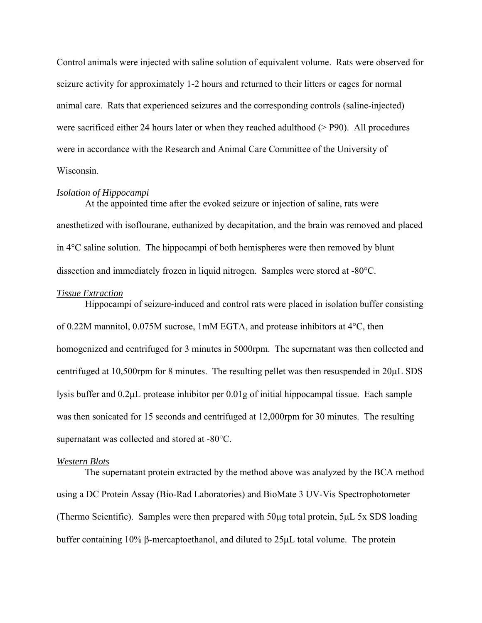Control animals were injected with saline solution of equivalent volume. Rats were observed for seizure activity for approximately 1-2 hours and returned to their litters or cages for normal animal care. Rats that experienced seizures and the corresponding controls (saline-injected) were sacrificed either 24 hours later or when they reached adulthood (> P90). All procedures were in accordance with the Research and Animal Care Committee of the University of Wisconsin.

#### *Isolation of Hippocampi*

 At the appointed time after the evoked seizure or injection of saline, rats were anesthetized with isoflourane, euthanized by decapitation, and the brain was removed and placed in 4°C saline solution. The hippocampi of both hemispheres were then removed by blunt dissection and immediately frozen in liquid nitrogen. Samples were stored at -80°C.

#### *Tissue Extraction*

 Hippocampi of seizure-induced and control rats were placed in isolation buffer consisting of 0.22M mannitol, 0.075M sucrose, 1mM EGTA, and protease inhibitors at 4°C, then homogenized and centrifuged for 3 minutes in 5000rpm. The supernatant was then collected and centrifuged at 10,500rpm for 8 minutes. The resulting pellet was then resuspended in 20μL SDS lysis buffer and 0.2μL protease inhibitor per 0.01g of initial hippocampal tissue. Each sample was then sonicated for 15 seconds and centrifuged at 12,000rpm for 30 minutes. The resulting supernatant was collected and stored at -80°C.

## *Western Blots*

 The supernatant protein extracted by the method above was analyzed by the BCA method using a DC Protein Assay (Bio-Rad Laboratories) and BioMate 3 UV-Vis Spectrophotometer (Thermo Scientific). Samples were then prepared with 50μg total protein, 5μL 5x SDS loading buffer containing 10% β-mercaptoethanol, and diluted to 25μL total volume. The protein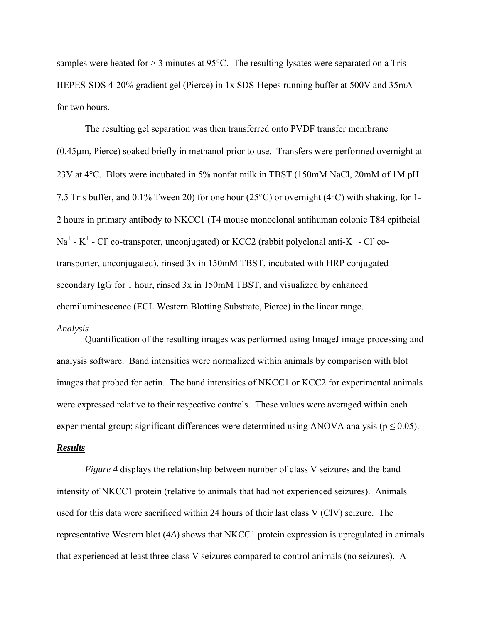samples were heated for  $> 3$  minutes at 95°C. The resulting lysates were separated on a Tris-HEPES-SDS 4-20% gradient gel (Pierce) in 1x SDS-Hepes running buffer at 500V and 35mA for two hours.

 The resulting gel separation was then transferred onto PVDF transfer membrane (0.45μm, Pierce) soaked briefly in methanol prior to use. Transfers were performed overnight at 23V at 4°C. Blots were incubated in 5% nonfat milk in TBST (150mM NaCl, 20mM of 1M pH 7.5 Tris buffer, and 0.1% Tween 20) for one hour (25°C) or overnight (4°C) with shaking, for 1- 2 hours in primary antibody to NKCC1 (T4 mouse monoclonal antihuman colonic T84 epitheial  $Na^+$  - K<sup>+</sup> - Cl<sup>-</sup> co-transpoter, unconjugated) or KCC2 (rabbit polyclonal anti-K<sup>+</sup> - Cl<sup>-</sup> cotransporter, unconjugated), rinsed 3x in 150mM TBST, incubated with HRP conjugated secondary IgG for 1 hour, rinsed 3x in 150mM TBST, and visualized by enhanced chemiluminescence (ECL Western Blotting Substrate, Pierce) in the linear range.

#### *Analysis*

Quantification of the resulting images was performed using ImageJ image processing and analysis software. Band intensities were normalized within animals by comparison with blot images that probed for actin. The band intensities of NKCC1 or KCC2 for experimental animals were expressed relative to their respective controls. These values were averaged within each experimental group; significant differences were determined using ANOVA analysis ( $p \le 0.05$ ).

## *Results*

*Figure 4* displays the relationship between number of class V seizures and the band intensity of NKCC1 protein (relative to animals that had not experienced seizures). Animals used for this data were sacrificed within 24 hours of their last class V (ClV) seizure. The representative Western blot (*4A*) shows that NKCC1 protein expression is upregulated in animals that experienced at least three class V seizures compared to control animals (no seizures). A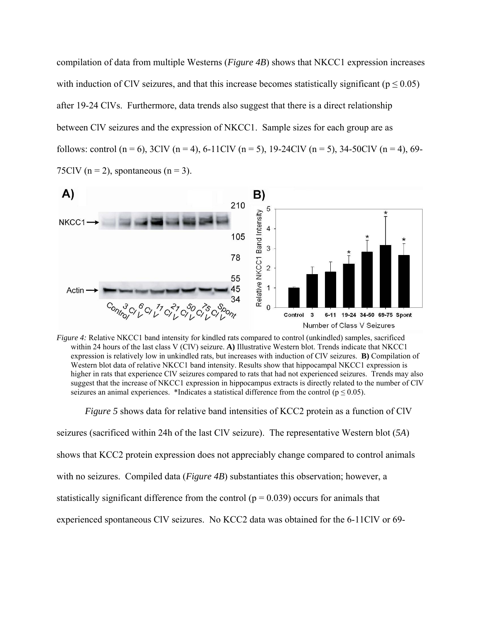compilation of data from multiple Westerns (*Figure 4B*) shows that NKCC1 expression increases with induction of CIV seizures, and that this increase becomes statistically significant ( $p \le 0.05$ ) after 19-24 ClVs. Furthermore, data trends also suggest that there is a direct relationship between ClV seizures and the expression of NKCC1. Sample sizes for each group are as follows: control (n = 6), 3ClV (n = 4), 6-11ClV (n = 5), 19-24ClV (n = 5), 34-50ClV (n = 4), 69-75ClV ( $n = 2$ ), spontaneous ( $n = 3$ ).



*Figure 4:* Relative NKCC1 band intensity for kindled rats compared to control (unkindled) samples, sacrificed within 24 hours of the last class V (ClV) seizure. **A)** Illustrative Western blot. Trends indicate that NKCC1 expression is relatively low in unkindled rats, but increases with induction of ClV seizures. **B)** Compilation of Western blot data of relative NKCC1 band intensity. Results show that hippocampal NKCC1 expression is higher in rats that experience ClV seizures compared to rats that had not experienced seizures. Trends may also suggest that the increase of NKCC1 expression in hippocampus extracts is directly related to the number of ClV seizures an animal experiences. \*Indicates a statistical difference from the control ( $p \le 0.05$ ).

*Figure 5* shows data for relative band intensities of KCC2 protein as a function of ClV

seizures (sacrificed within 24h of the last ClV seizure). The representative Western blot (*5A*)

shows that KCC2 protein expression does not appreciably change compared to control animals

with no seizures. Compiled data (*Figure 4B*) substantiates this observation; however, a

statistically significant difference from the control ( $p = 0.039$ ) occurs for animals that

experienced spontaneous ClV seizures. No KCC2 data was obtained for the 6-11ClV or 69-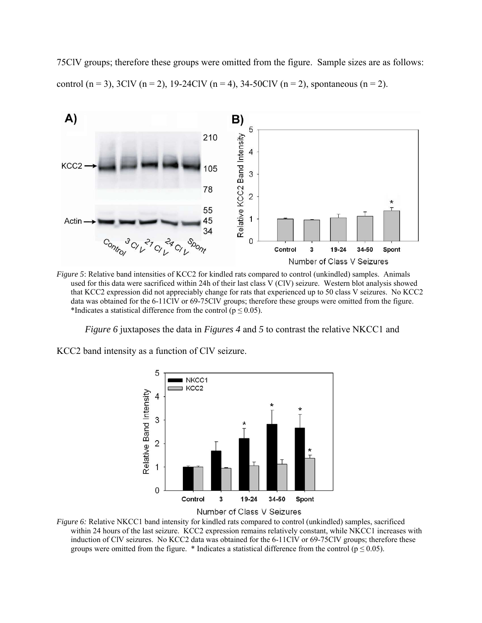75ClV groups; therefore these groups were omitted from the figure. Sample sizes are as follows: control (n = 3), 3ClV (n = 2), 19-24ClV (n = 4), 34-50ClV (n = 2), spontaneous (n = 2).



*Figure 5*: Relative band intensities of KCC2 for kindled rats compared to control (unkindled) samples. Animals used for this data were sacrificed within 24h of their last class V (ClV) seizure. Western blot analysis showed that KCC2 expression did not appreciably change for rats that experienced up to 50 class V seizures. No KCC2 data was obtained for the 6-11ClV or 69-75ClV groups; therefore these groups were omitted from the figure. \*Indicates a statistical difference from the control ( $p \le 0.05$ ).

*Figure 6* juxtaposes the data in *Figures 4* and *5* to contrast the relative NKCC1 and

KCC2 band intensity as a function of ClV seizure.





*Figure 6:* Relative NKCC1 band intensity for kindled rats compared to control (unkindled) samples, sacrificed within 24 hours of the last seizure. KCC2 expression remains relatively constant, while NKCC1 increases with induction of ClV seizures. No KCC2 data was obtained for the 6-11ClV or 69-75ClV groups; therefore these groups were omitted from the figure. \* Indicates a statistical difference from the control ( $p \le 0.05$ ).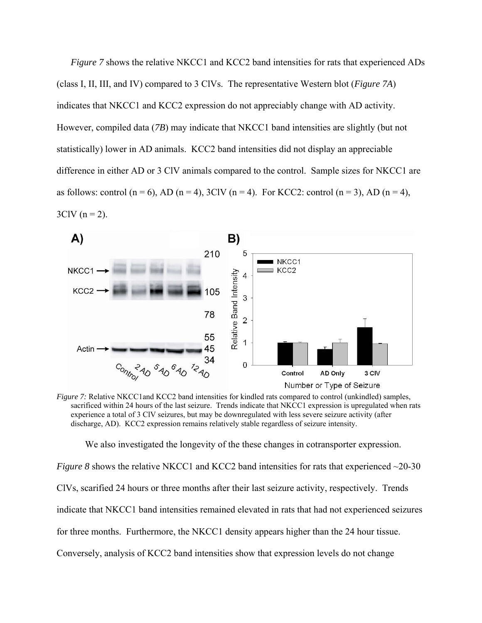*Figure 7* shows the relative NKCC1 and KCC2 band intensities for rats that experienced ADs (class I, II, III, and IV) compared to 3 ClVs. The representative Western blot (*Figure 7A*) indicates that NKCC1 and KCC2 expression do not appreciably change with AD activity. However, compiled data (*7B*) may indicate that NKCC1 band intensities are slightly (but not statistically) lower in AD animals. KCC2 band intensities did not display an appreciable difference in either AD or 3 ClV animals compared to the control. Sample sizes for NKCC1 are as follows: control  $(n = 6)$ , AD  $(n = 4)$ , 3ClV  $(n = 4)$ . For KCC2: control  $(n = 3)$ , AD  $(n = 4)$ ,  $3CIV (n = 2)$ .



*Figure 7:* Relative NKCC1 and KCC2 band intensities for kindled rats compared to control (unkindled) samples, sacrificed within 24 hours of the last seizure. Trends indicate that NKCC1 expression is upregulated when rats experience a total of 3 ClV seizures, but may be downregulated with less severe seizure activity (after discharge, AD). KCC2 expression remains relatively stable regardless of seizure intensity.

We also investigated the longevity of the these changes in cotransporter expression.

*Figure 8* shows the relative NKCC1 and KCC2 band intensities for rats that experienced ~20-30 ClVs, scarified 24 hours or three months after their last seizure activity, respectively. Trends indicate that NKCC1 band intensities remained elevated in rats that had not experienced seizures for three months. Furthermore, the NKCC1 density appears higher than the 24 hour tissue. Conversely, analysis of KCC2 band intensities show that expression levels do not change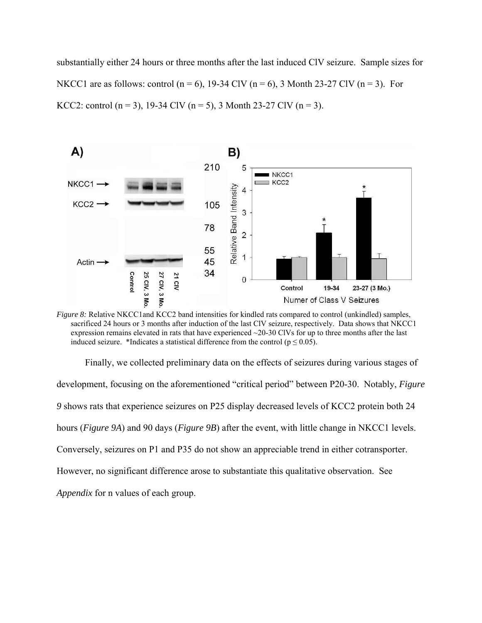substantially either 24 hours or three months after the last induced ClV seizure. Sample sizes for NKCC1 are as follows: control (n = 6), 19-34 ClV (n = 6), 3 Month 23-27 ClV (n = 3). For KCC2: control (n = 3), 19-34 ClV (n = 5), 3 Month 23-27 ClV (n = 3).



*Figure 8:* Relative NKCC1and KCC2 band intensities for kindled rats compared to control (unkindled) samples, sacrificed 24 hours or 3 months after induction of the last ClV seizure, respectively. Data shows that NKCC1 expression remains elevated in rats that have experienced  $\sim$ 20-30 ClVs for up to three months after the last induced seizure. \*Indicates a statistical difference from the control ( $p \le 0.05$ ).

 Finally, we collected preliminary data on the effects of seizures during various stages of development, focusing on the aforementioned "critical period" between P20-30. Notably, *Figure 9* shows rats that experience seizures on P25 display decreased levels of KCC2 protein both 24 hours (*Figure 9A*) and 90 days (*Figure 9B*) after the event, with little change in NKCC1 levels. Conversely, seizures on P1 and P35 do not show an appreciable trend in either cotransporter. However, no significant difference arose to substantiate this qualitative observation. See *Appendix* for n values of each group.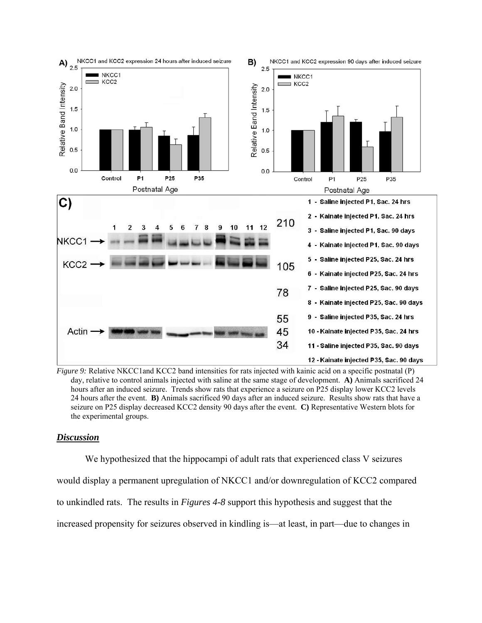

*Figure 9:* Relative NKCC1 and KCC2 band intensities for rats injected with kainic acid on a specific postnatal (P) day, relative to control animals injected with saline at the same stage of development. **A)** Animals sacrificed 24 hours after an induced seizure. Trends show rats that experience a seizure on P25 display lower KCC2 levels 24 hours after the event. **B)** Animals sacrificed 90 days after an induced seizure. Results show rats that have a seizure on P25 display decreased KCC2 density 90 days after the event. **C)** Representative Western blots for the experimental groups.

### *Discussion*

 We hypothesized that the hippocampi of adult rats that experienced class V seizures would display a permanent upregulation of NKCC1 and/or downregulation of KCC2 compared to unkindled rats. The results in *Figures 4-8* support this hypothesis and suggest that the increased propensity for seizures observed in kindling is—at least, in part—due to changes in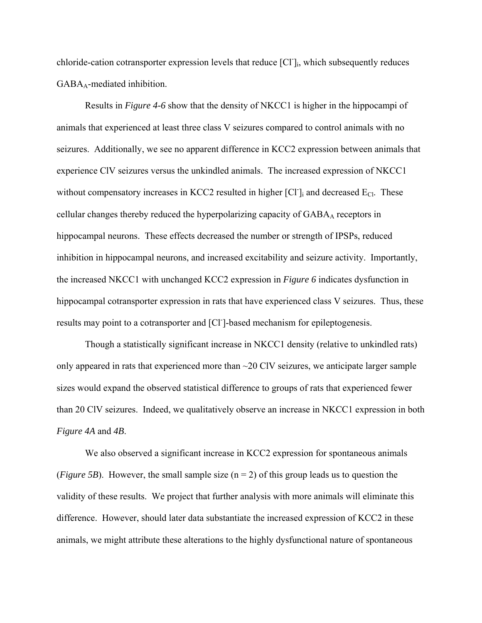chloride-cation cotransporter expression levels that reduce [Cl<sup>-</sup>]<sub>i</sub>, which subsequently reduces GABA<sub>A</sub>-mediated inhibition.

 Results in *Figure 4-6* show that the density of NKCC1 is higher in the hippocampi of animals that experienced at least three class V seizures compared to control animals with no seizures. Additionally, we see no apparent difference in KCC2 expression between animals that experience ClV seizures versus the unkindled animals. The increased expression of NKCC1 without compensatory increases in KCC2 resulted in higher [Cl<sup>-</sup>]<sub>i</sub> and decreased E<sub>Cl</sub>. These cellular changes thereby reduced the hyperpolarizing capacity of GABA<sub>A</sub> receptors in hippocampal neurons. These effects decreased the number or strength of IPSPs, reduced inhibition in hippocampal neurons, and increased excitability and seizure activity. Importantly, the increased NKCC1 with unchanged KCC2 expression in *Figure 6* indicates dysfunction in hippocampal cotransporter expression in rats that have experienced class V seizures. Thus, these results may point to a cotransporter and [Cl<sup>-</sup>]-based mechanism for epileptogenesis.

 Though a statistically significant increase in NKCC1 density (relative to unkindled rats) only appeared in rats that experienced more than  $\sim$ 20 ClV seizures, we anticipate larger sample sizes would expand the observed statistical difference to groups of rats that experienced fewer than 20 ClV seizures. Indeed, we qualitatively observe an increase in NKCC1 expression in both *Figure 4A* and *4B*.

We also observed a significant increase in KCC2 expression for spontaneous animals (*Figure 5B*). However, the small sample size  $(n = 2)$  of this group leads us to question the validity of these results. We project that further analysis with more animals will eliminate this difference. However, should later data substantiate the increased expression of KCC2 in these animals, we might attribute these alterations to the highly dysfunctional nature of spontaneous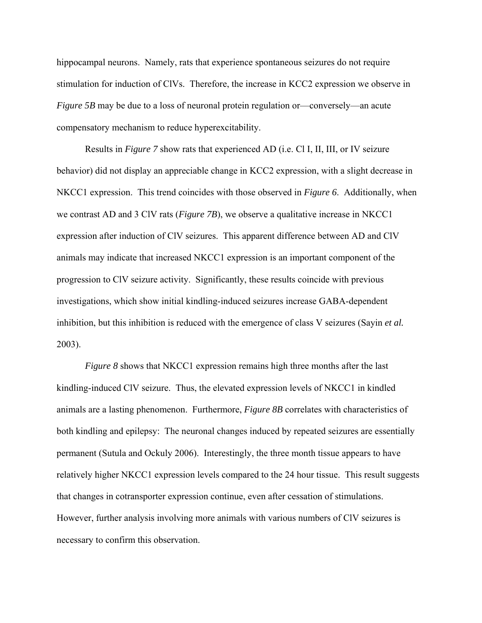hippocampal neurons. Namely, rats that experience spontaneous seizures do not require stimulation for induction of ClVs. Therefore, the increase in KCC2 expression we observe in *Figure 5B* may be due to a loss of neuronal protein regulation or—conversely—an acute compensatory mechanism to reduce hyperexcitability.

 Results in *Figure 7* show rats that experienced AD (i.e. Cl I, II, III, or IV seizure behavior) did not display an appreciable change in KCC2 expression, with a slight decrease in NKCC1 expression. This trend coincides with those observed in *Figure 6*. Additionally, when we contrast AD and 3 ClV rats (*Figure 7B*), we observe a qualitative increase in NKCC1 expression after induction of ClV seizures. This apparent difference between AD and ClV animals may indicate that increased NKCC1 expression is an important component of the progression to ClV seizure activity. Significantly, these results coincide with previous investigations, which show initial kindling-induced seizures increase GABA-dependent inhibition, but this inhibition is reduced with the emergence of class V seizures (Sayin *et al.* 2003).

*Figure 8* shows that NKCC1 expression remains high three months after the last kindling-induced ClV seizure. Thus, the elevated expression levels of NKCC1 in kindled animals are a lasting phenomenon. Furthermore, *Figure 8B* correlates with characteristics of both kindling and epilepsy: The neuronal changes induced by repeated seizures are essentially permanent (Sutula and Ockuly 2006). Interestingly, the three month tissue appears to have relatively higher NKCC1 expression levels compared to the 24 hour tissue. This result suggests that changes in cotransporter expression continue, even after cessation of stimulations. However, further analysis involving more animals with various numbers of ClV seizures is necessary to confirm this observation.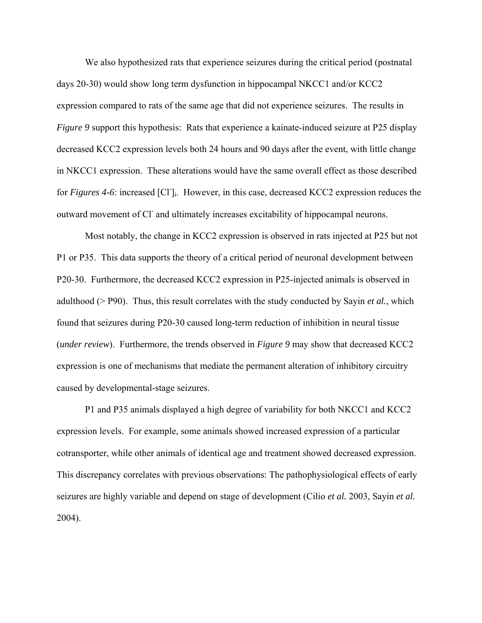We also hypothesized rats that experience seizures during the critical period (postnatal days 20-30) would show long term dysfunction in hippocampal NKCC1 and/or KCC2 expression compared to rats of the same age that did not experience seizures. The results in *Figure 9* support this hypothesis: Rats that experience a kainate-induced seizure at P25 display decreased KCC2 expression levels both 24 hours and 90 days after the event, with little change in NKCC1 expression. These alterations would have the same overall effect as those described for *Figures 4-6*: increased [Cl<sup>-</sup>]<sub>i</sub>. However, in this case, decreased KCC2 expression reduces the outward movement of Cl and ultimately increases excitability of hippocampal neurons.

Most notably, the change in KCC2 expression is observed in rats injected at P25 but not P1 or P35. This data supports the theory of a critical period of neuronal development between P20-30. Furthermore, the decreased KCC2 expression in P25-injected animals is observed in adulthood (> P90). Thus, this result correlates with the study conducted by Sayin *et al.*, which found that seizures during P20-30 caused long-term reduction of inhibition in neural tissue (*under review*). Furthermore, the trends observed in *Figure 9* may show that decreased KCC2 expression is one of mechanisms that mediate the permanent alteration of inhibitory circuitry caused by developmental-stage seizures.

P1 and P35 animals displayed a high degree of variability for both NKCC1 and KCC2 expression levels. For example, some animals showed increased expression of a particular cotransporter, while other animals of identical age and treatment showed decreased expression. This discrepancy correlates with previous observations: The pathophysiological effects of early seizures are highly variable and depend on stage of development (Cilio *et al.* 2003, Sayin *et al.* 2004).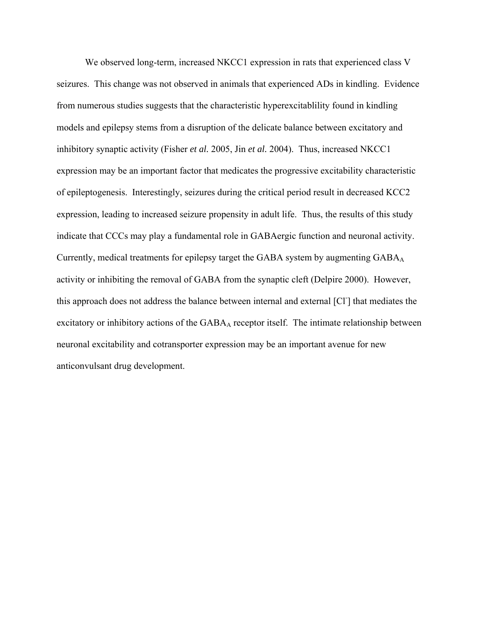We observed long-term, increased NKCC1 expression in rats that experienced class V seizures. This change was not observed in animals that experienced ADs in kindling. Evidence from numerous studies suggests that the characteristic hyperexcitablility found in kindling models and epilepsy stems from a disruption of the delicate balance between excitatory and inhibitory synaptic activity (Fisher *et al.* 2005, Jin *et al.* 2004). Thus, increased NKCC1 expression may be an important factor that medicates the progressive excitability characteristic of epileptogenesis. Interestingly, seizures during the critical period result in decreased KCC2 expression, leading to increased seizure propensity in adult life. Thus, the results of this study indicate that CCCs may play a fundamental role in GABAergic function and neuronal activity. Currently, medical treatments for epilepsy target the GABA system by augmenting GABAA activity or inhibiting the removal of GABA from the synaptic cleft (Delpire 2000). However, this approach does not address the balance between internal and external [Cl- ] that mediates the excitatory or inhibitory actions of the  $GABA_A$  receptor itself. The intimate relationship between neuronal excitability and cotransporter expression may be an important avenue for new anticonvulsant drug development.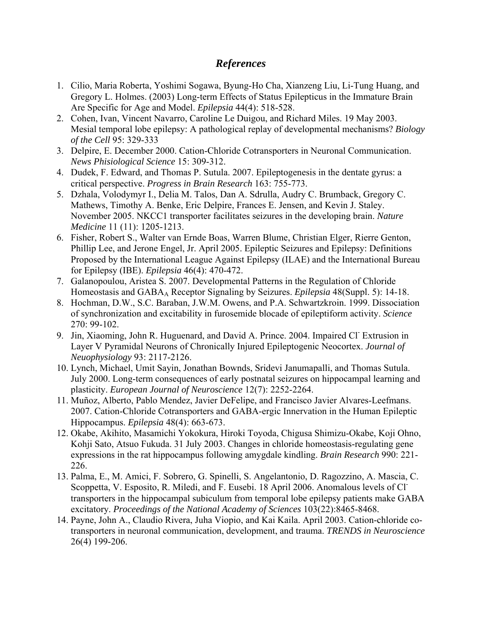# *References*

- 1. Cilio, Maria Roberta, Yoshimi Sogawa, Byung-Ho Cha, Xianzeng Liu, Li-Tung Huang, and Gregory L. Holmes. (2003) Long-term Effects of Status Epilepticus in the Immature Brain Are Specific for Age and Model. *Epilepsia* 44(4): 518-528.
- 2. Cohen, Ivan, Vincent Navarro, Caroline Le Duigou, and Richard Miles. 19 May 2003. Mesial temporal lobe epilepsy: A pathological replay of developmental mechanisms? *Biology of the Cell* 95: 329-333
- 3. Delpire, E. December 2000. Cation-Chloride Cotransporters in Neuronal Communication. *News Phisiological Science* 15: 309-312.
- 4. Dudek, F. Edward, and Thomas P. Sutula. 2007. Epileptogenesis in the dentate gyrus: a critical perspective. *Progress in Brain Research* 163: 755-773.
- 5. Dzhala, Volodymyr I., Delia M. Talos, Dan A. Sdrulla, Audry C. Brumback, Gregory C. Mathews, Timothy A. Benke, Eric Delpire, Frances E. Jensen, and Kevin J. Staley. November 2005. NKCC1 transporter facilitates seizures in the developing brain. *Nature Medicine* 11 (11): 1205-1213.
- 6. Fisher, Robert S., Walter van Ernde Boas, Warren Blume, Christian Elger, Rierre Genton, Phillip Lee, and Jerone Engel, Jr. April 2005. Epileptic Seizures and Epilepsy: Definitions Proposed by the International League Against Epilepsy (ILAE) and the International Bureau for Epilepsy (IBE). *Epilepsia* 46(4): 470-472.
- 7. Galanopoulou, Aristea S. 2007. Developmental Patterns in the Regulation of Chloride Homeostasis and GABAA Receptor Signaling by Seizures. *Epilepsia* 48(Suppl. 5): 14-18.
- 8. Hochman, D.W., S.C. Baraban, J.W.M. Owens, and P.A. Schwartzkroin. 1999. Dissociation of synchronization and excitability in furosemide blocade of epileptiform activity. *Science* 270: 99-102.
- 9. Jin, Xiaoming, John R. Huguenard, and David A. Prince. 2004. Impaired Cl<sup>-</sup> Extrusion in Layer V Pyramidal Neurons of Chronically Injured Epileptogenic Neocortex. *Journal of Neuophysiology* 93: 2117-2126.
- 10. Lynch, Michael, Umit Sayin, Jonathan Bownds, Sridevi Janumapalli, and Thomas Sutula. July 2000. Long-term consequences of early postnatal seizures on hippocampal learning and plasticity. *European Journal of Neuroscience* 12(7): 2252-2264.
- 11. Muñoz, Alberto, Pablo Mendez, Javier DeFelipe, and Francisco Javier Alvares-Leefmans. 2007. Cation-Chloride Cotransporters and GABA-ergic Innervation in the Human Epileptic Hippocampus. *Epilepsia* 48(4): 663-673.
- 12. Okabe, Akihito, Masamichi Yokokura, Hiroki Toyoda, Chigusa Shimizu-Okabe, Koji Ohno, Kohji Sato, Atsuo Fukuda. 31 July 2003. Changes in chloride homeostasis-regulating gene expressions in the rat hippocampus following amygdale kindling. *Brain Research* 990: 221- 226.
- 13. Palma, E., M. Amici, F. Sobrero, G. Spinelli, S. Angelantonio, D. Ragozzino, A. Mascia, C. Scoppetta, V. Esposito, R. Miledi, and F. Eusebi. 18 April 2006. Anomalous levels of Cltransporters in the hippocampal subiculum from temporal lobe epilepsy patients make GABA excitatory. *Proceedings of the National Academy of Sciences* 103(22):8465-8468.
- 14. Payne, John A., Claudio Rivera, Juha Viopio, and Kai Kaila. April 2003. Cation-chloride cotransporters in neuronal communication, development, and trauma. *TRENDS in Neuroscience* 26(4) 199-206.